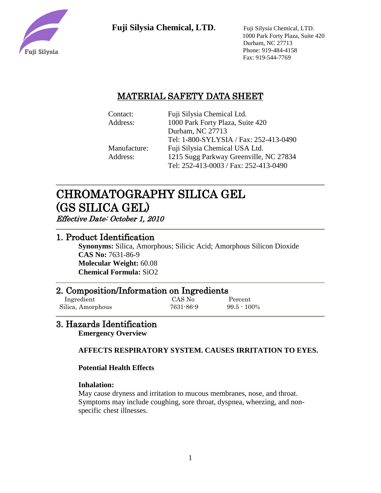

 1000 Park Forty Plaza, Suite 420 Durham, NC 27713 Phone: 919-484-4158 Fax: 919-544-7769

# MATERIAL SAFETY DATA SHEET

| Contact:     | Fuji Silysia Chemical Ltd.             |
|--------------|----------------------------------------|
| Address:     | 1000 Park Forty Plaza, Suite 420       |
|              | Durham, NC 27713                       |
|              | Tel: 1-800-SYLYSIA / Fax: 252-413-0490 |
| Manufacture: | Fuji Silysia Chemical USA Ltd.         |
| Address:     | 1215 Sugg Parkway Greenville, NC 27834 |
|              | Tel: 252-413-0003 / Fax: 252-413-0490  |

# CHROMATOGRAPHY SILICA GEL (GS SILICA GEL)

Effective Date: October 1, 2010

## 1. Product Identification

**Synonyms:** Silica, Amorphous; Silicic Acid; Amorphous Silicon Dioxide **CAS No:** 7631-86-9 **Molecular Weight:** 60.08 **Chemical Formula:** SiO2

# 2. Composition/Information on Ingredients

 Ingredient CAS No Percent Silica, Amorphous 7631-86-9 99.5 - 100%

# 3. Hazards Identification

**Emergency Overview**

## **AFFECTS RESPIRATORY SYSTEM. CAUSES IRRITATION TO EYES.**

## **Potential Health Effects**

## **Inhalation:**

May cause dryness and irritation to mucous membranes, nose, and throat. Symptoms may include coughing, sore throat, dyspnea, wheezing, and nonspecific chest illnesses.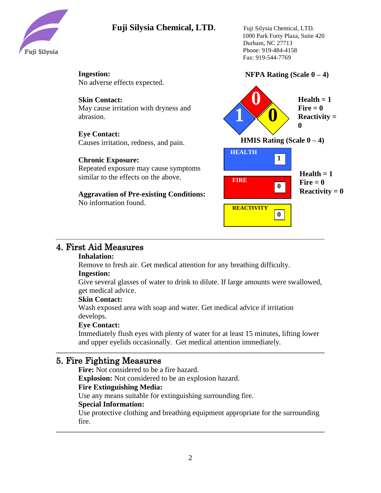

 1000 Park Forty Plaza, Suite 420 Durham, NC 27713 Phone: 919-484-4158 Fax: 919-544-7769

## **NFPA Rating (Scale 0 – 4)**

**1 0 0**  $Health = 1$  $\textbf{Fire} = 0$ **Reactivity = 0 HEALTH 1 HMIS Rating (Scale 0 – 4) Health = 1**  $\textbf{Fire} = 0$ **Reactivity = 0 FIRE REACTIVITY 0 0** No adverse effects expected. **Skin Contact:** May cause irritation with dryness and abrasion. **Eye Contact:** Causes irritation, redness, and pain. **Chronic Exposure:** Repeated exposure may cause symptoms similar to the effects on the above. **Aggravation of Pre-existing Conditions:** No information found.

# 4. First Aid Measures

#### **Inhalation:**

**Ingestion:**

Remove to fresh air. Get medical attention for any breathing difficulty. **Ingestion:**

Give several glasses of water to drink to dilute. If large amounts were swallowed, get medical advice.

#### **Skin Contact:**

Wash exposed area with soap and water. Get medical advice if irritation develops.

## **Eye Contact:**

Immediately flush eyes with plenty of water for at least 15 minutes, lifting lower and upper eyelids occasionally. Get medical attention immediately.

## 5. Fire Fighting Measures

**Fire:** Not considered to be a fire hazard.

**Explosion:** Not considered to be an explosion hazard.

## **Fire Extinguishing Media:**

Use any means suitable for extinguishing surrounding fire.

## **Special Information:**

Use protective clothing and breathing equipment appropriate for the surrounding fire.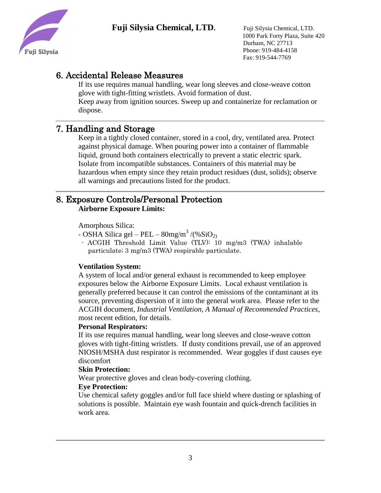

 1000 Park Forty Plaza, Suite 420 Durham, NC 27713 Phone: 919-484-4158 Fax: 919-544-7769

# 6. Accidental Release Measures

If its use requires manual handling, wear long sleeves and close-weave cotton glove with tight-fitting wristlets. Avoid formation of dust. Keep away from ignition sources. Sweep up and containerize for reclamation or dispose.

# 7. Handling and Storage

Keep in a tightly closed container, stored in a cool, dry, ventilated area. Protect against physical damage. When pouring power into a container of flammable liquid, ground both containers electrically to prevent a static electric spark. Isolate from incompatible substances. Containers of this material may be hazardous when empty since they retain product residues (dust, solids); observe all warnings and precautions listed for the product.

## 8. Exposure Controls/Personal Protection **Airborne Exposure Limits:**

Amorphous Silica:

- OSHA Silica gel – PEL –  $80$ mg/m<sup>3</sup> /(%SiO<sub>2)</sub>

- ACGIH Threshold Limit Value (TLV): 10 mg/m3 (TWA) inhalable particulate; 3 mg/m3 (TWA) respirable particulate.

## **Ventilation System:**

A system of local and/or general exhaust is recommended to keep employee exposures below the Airborne Exposure Limits. Local exhaust ventilation is generally preferred because it can control the emissions of the contaminant at its source, preventing dispersion of it into the general work area. Please refer to the ACGIH document, *Industrial Ventilation, A Manual of Recommended Practices*, most recent edition, for details.

## **Personal Respirators:**

If its use requires manual handling, wear long sleeves and close-weave cotton gloves with tight-fitting wristlets. If dusty conditions prevail, use of an approved NIOSH/MSHA dust respirator is recommended. Wear goggles if dust causes eye discomfort

## **Skin Protection:**

Wear protective gloves and clean body-covering clothing.

## **Eye Protection:**

Use chemical safety goggles and/or full face shield where dusting or splashing of solutions is possible. Maintain eye wash fountain and quick-drench facilities in work area.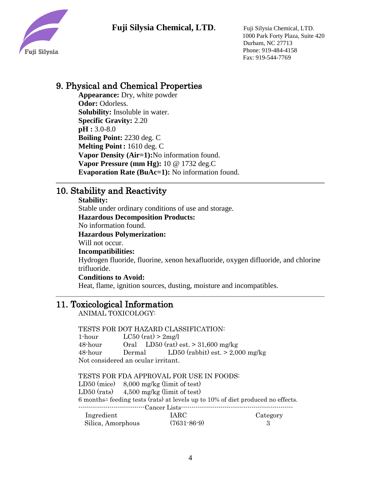

 1000 Park Forty Plaza, Suite 420 Durham, NC 27713 Phone: 919-484-4158 Fax: 919-544-7769

# 9. Physical and Chemical Properties

**Appearance:** Dry, white powder **Odor:** Odorless. **Solubility:** Insoluble in water. **Specific Gravity:** 2.20 **pH :** 3.0-8.0 **Boiling Point:** 2230 deg. C **Melting Point:** 1610 deg. C **Vapor Density (Air=1):**No information found. **Vapor Pressure (mm Hg):** 10 @ 1732 deg.C **Evaporation Rate (BuAc=1):** No information found.

# 10. Stability and Reactivity

#### **Stability:**

Stable under ordinary conditions of use and storage.

**Hazardous Decomposition Products:**

No information found.

**Hazardous Polymerization:**

Will not occur.

**Incompatibilities:**

Hydrogen fluoride, fluorine, xenon hexafluoride, oxygen difluoride, and chlorine trifluoride.

#### **Conditions to Avoid:**

Heat, flame, ignition sources, dusting, moisture and incompatibles.

## 11. Toxicological Information

ANIMAL TOXICOLOGY:

TESTS FOR DOT HAZARD CLASSIFICATION:

1-hour  $LC50 \text{ (rat)} > 2 \text{mg/l}$ 48-hour Oral LD50 (rat) est.  $> 31,600$  mg/kg 48-hour Dermal LD50 (rabbit) est. > 2,000 mg/kg Not considered an ocular irritant.

TESTS FOR FDA APPROVAL FOR USE IN FOODS: LD50 (mice) 8,000 mg/kg (limit of test) LD50 (rats) 4,500 mg/kg (limit of test) 6 monthsユ feeding tests (rats) at levels up to 10% of diet produced no effects. --------------------------------Cancer Lists------------------------------------------------------ Ingredient IARC Category Silica, Amorphous (7631-86-9) 3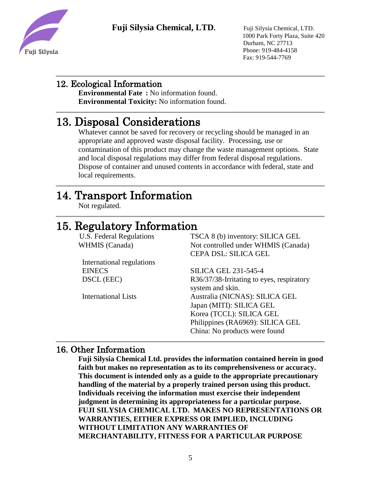



 1000 Park Forty Plaza, Suite 420 Durham, NC 27713 Phone: 919-484-4158 Fax: 919-544-7769

# 12. Ecological Information

**Environmental Fate :** No information found. **Environmental Toxicity:** No information found.

# 13. Disposal Considerations

Whatever cannot be saved for recovery or recycling should be managed in an appropriate and approved waste disposal facility. Processing, use or contamination of this product may change the waste management options. State and local disposal regulations may differ from federal disposal regulations. Dispose of container and unused contents in accordance with federal, state and local requirements.

# 14. Transport Information

Not regulated.

# 15. Regulatory Information

 U.S. Federal Regulations TSCA 8 (b) inventory: SILICA GEL WHMIS (Canada) Not controlled under WHMIS (Canada) CEPA DSL: SILICA GEL

| International regulations  |                                           |
|----------------------------|-------------------------------------------|
| <b>EINECS</b>              | <b>SILICA GEL 231-545-4</b>               |
| DSCL (EEC)                 | R36/37/38-Irritating to eyes, respiratory |
|                            | system and skin.                          |
| <b>International Lists</b> | Australia (NICNAS): SILICA GEL            |
|                            | Japan (MITI): SILICA GEL                  |
|                            | Korea (TCCL): SILICA GEL                  |
|                            | Philippines (RA6969): SILICA GEL          |
|                            | China: No products were found             |
|                            |                                           |

## 16. Other Information

**Fuji Silysia Chemical Ltd. provides the information contained herein in good faith but makes no representation as to its comprehensiveness or accuracy. This document is intended only as a guide to the appropriate precautionary handling of the material by a properly trained person using this product. Individuals receiving the information must exercise their independent judgment in determining its appropriateness for a particular purpose. FUJI SILYSIA CHEMICAL LTD. MAKES NO REPRESENTATIONS OR WARRANTIES, EITHER EXPRESS OR IMPLIED, INCLUDING WITHOUT LIMITATION ANY WARRANTIES OF MERCHANTABILITY, FITNESS FOR A PARTICULAR PURPOSE**